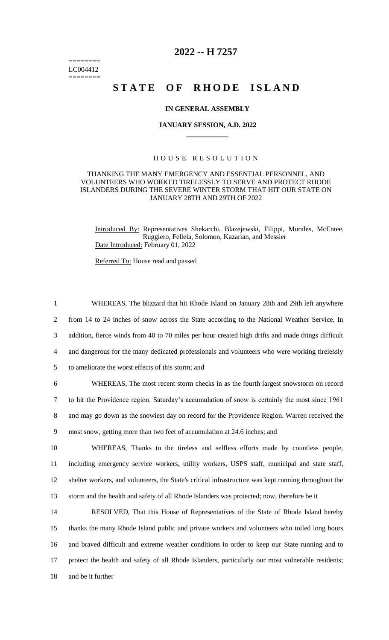======== LC004412 ========

## **2022 -- H 7257**

# **STATE OF RHODE ISLAND**

### **IN GENERAL ASSEMBLY**

#### **JANUARY SESSION, A.D. 2022 \_\_\_\_\_\_\_\_\_\_\_\_**

### H O U S E R E S O L U T I O N

### THANKING THE MANY EMERGENCY AND ESSENTIAL PERSONNEL, AND VOLUNTEERS WHO WORKED TIRELESSLY TO SERVE AND PROTECT RHODE ISLANDERS DURING THE SEVERE WINTER STORM THAT HIT OUR STATE ON JANUARY 28TH AND 29TH OF 2022

Introduced By: Representatives Shekarchi, Blazejewski, Filippi, Morales, McEntee, Ruggiero, Fellela, Solomon, Kazarian, and Messier Date Introduced: February 01, 2022

Referred To: House read and passed

 WHEREAS, The blizzard that hit Rhode Island on January 28th and 29th left anywhere from 14 to 24 inches of snow across the State according to the National Weather Service. In addition, fierce winds from 40 to 70 miles per hour created high drifts and made things difficult and dangerous for the many dedicated professionals and volunteers who were working tirelessly to ameliorate the worst effects of this storm; and WHEREAS, The most recent storm checks in as the fourth largest snowstorm on record

7 to hit the Providence region. Saturday's accumulation of snow is certainly the most since 1961 8 and may go down as the snowiest day on record for the Providence Region. Warren received the 9 most snow, getting more than two feet of accumulation at 24.6 inches; and

 WHEREAS, Thanks to the tireless and selfless efforts made by countless people, including emergency service workers, utility workers, USPS staff, municipal and state staff, shelter workers, and volunteers, the State's critical infrastructure was kept running throughout the storm and the health and safety of all Rhode Islanders was protected; now, therefore be it

 RESOLVED, That this House of Representatives of the State of Rhode Island hereby thanks the many Rhode Island public and private workers and volunteers who toiled long hours and braved difficult and extreme weather conditions in order to keep our State running and to protect the health and safety of all Rhode Islanders, particularly our most vulnerable residents; and be it further